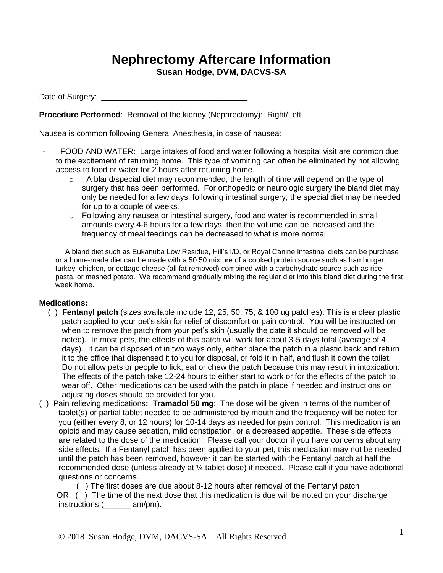## **Nephrectomy Aftercare Information Susan Hodge, DVM, DACVS-SA**

Date of Surgery:

**Procedure Performed**: Removal of the kidney (Nephrectomy): Right/Left

Nausea is common following General Anesthesia, in case of nausea:

- FOOD AND WATER: Large intakes of food and water following a hospital visit are common due to the excitement of returning home. This type of vomiting can often be eliminated by not allowing access to food or water for 2 hours after returning home.
	- o A bland/special diet may recommended, the length of time will depend on the type of surgery that has been performed. For orthopedic or neurologic surgery the bland diet may only be needed for a few days, following intestinal surgery, the special diet may be needed for up to a couple of weeks.
	- $\circ$  Following any nausea or intestinal surgery, food and water is recommended in small amounts every 4-6 hours for a few days, then the volume can be increased and the frequency of meal feedings can be decreased to what is more normal.

A bland diet such as Eukanuba Low Residue, Hill's I/D, or Royal Canine Intestinal diets can be purchase or a home-made diet can be made with a 50:50 mixture of a cooked protein source such as hamburger, turkey, chicken, or cottage cheese (all fat removed) combined with a carbohydrate source such as rice, pasta, or mashed potato. We recommend gradually mixing the regular diet into this bland diet during the first week home.

## **Medications:**

- ( ) **Fentanyl patch** (sizes available include 12, 25, 50, 75, & 100 ug patches): This is a clear plastic patch applied to your pet's skin for relief of discomfort or pain control. You will be instructed on when to remove the patch from your pet's skin (usually the date it should be removed will be noted). In most pets, the effects of this patch will work for about 3-5 days total (average of 4 days). It can be disposed of in two ways only, either place the patch in a plastic back and return it to the office that dispensed it to you for disposal, or fold it in half, and flush it down the toilet. Do not allow pets or people to lick, eat or chew the patch because this may result in intoxication. The effects of the patch take 12-24 hours to either start to work or for the effects of the patch to wear off. Other medications can be used with the patch in place if needed and instructions on adjusting doses should be provided for you.
- ( ) Pain relieving medications**: Tramadol 50 mg**: The dose will be given in terms of the number of tablet(s) or partial tablet needed to be administered by mouth and the frequency will be noted for you (either every 8, or 12 hours) for 10-14 days as needed for pain control. This medication is an opioid and may cause sedation, mild constipation, or a decreased appetite. These side effects are related to the dose of the medication. Please call your doctor if you have concerns about any side effects. If a Fentanyl patch has been applied to your pet, this medication may not be needed until the patch has been removed, however it can be started with the Fentanyl patch at half the recommended dose (unless already at ¼ tablet dose) if needed. Please call if you have additional questions or concerns.

 ( ) The first doses are due about 8-12 hours after removal of the Fentanyl patch OR ( ) The time of the next dose that this medication is due will be noted on your discharge instructions (\_\_\_\_\_\_ am/pm).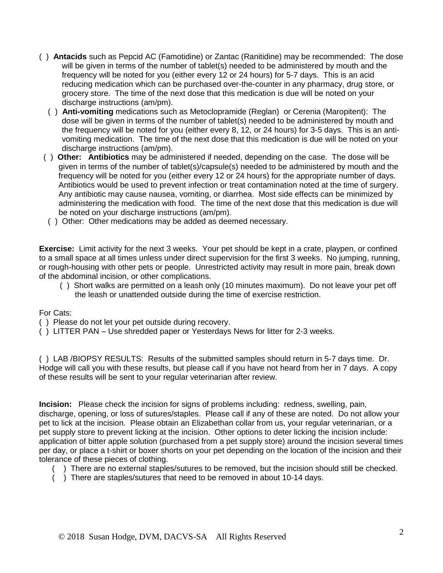- ( ) **Antacids** such as Pepcid AC (Famotidine) or Zantac (Ranitidine) may be recommended:The dose will be given in terms of the number of tablet(s) needed to be administered by mouth and the frequency will be noted for you (either every 12 or 24 hours) for 5-7 days. This is an acid reducing medication which can be purchased over-the-counter in any pharmacy, drug store, or grocery store. The time of the next dose that this medication is due will be noted on your discharge instructions (am/pm).
	- ( ) **Anti-vomiting** medications such as Metoclopramide (Reglan) or Cerenia (Maropitent): The dose will be given in terms of the number of tablet(s) needed to be administered by mouth and the frequency will be noted for you (either every 8, 12, or 24 hours) for 3-5 days. This is an antivomiting medication. The time of the next dose that this medication is due will be noted on your discharge instructions (am/pm).
- ( ) **Other: Antibiotics** may be administered if needed, depending on the case. The dose will be given in terms of the number of tablet(s)/capsule(s) needed to be administered by mouth and the frequency will be noted for you (either every 12 or 24 hours) for the appropriate number of days. Antibiotics would be used to prevent infection or treat contamination noted at the time of surgery. Any antibiotic may cause nausea, vomiting, or diarrhea. Most side effects can be minimized by administering the medication with food. The time of the next dose that this medication is due will be noted on your discharge instructions (am/pm).
	- ( ) Other: Other medications may be added as deemed necessary.

**Exercise:** Limit activity for the next 3 weeks. Your pet should be kept in a crate, playpen, or confined to a small space at all times unless under direct supervision for the first 3 weeks. No jumping, running, or rough-housing with other pets or people. Unrestricted activity may result in more pain, break down of the abdominal incision, or other complications.

 ( ) Short walks are permitted on a leash only (10 minutes maximum). Do not leave your pet off the leash or unattended outside during the time of exercise restriction.

For Cats:

- ( ) Please do not let your pet outside during recovery.
- ( ) LITTER PAN Use shredded paper or Yesterdays News for litter for 2-3 weeks.

( ) LAB /BIOPSY RESULTS: Results of the submitted samples should return in 5-7 days time. Dr. Hodge will call you with these results, but please call if you have not heard from her in 7 days. A copy of these results will be sent to your regular veterinarian after review.

**Incision:** Please check the incision for signs of problems including: redness, swelling, pain, discharge, opening, or loss of sutures/staples. Please call if any of these are noted. Do not allow your pet to lick at the incision. Please obtain an Elizabethan collar from us, your regular veterinarian, or a pet supply store to prevent licking at the incision. Other options to deter licking the incision include: application of bitter apple solution (purchased from a pet supply store) around the incision several times per day, or place a t-shirt or boxer shorts on your pet depending on the location of the incision and their tolerance of these pieces of clothing.

- ( ) There are no external staples/sutures to be removed, but the incision should still be checked.
- ( ) There are staples/sutures that need to be removed in about 10-14 days.